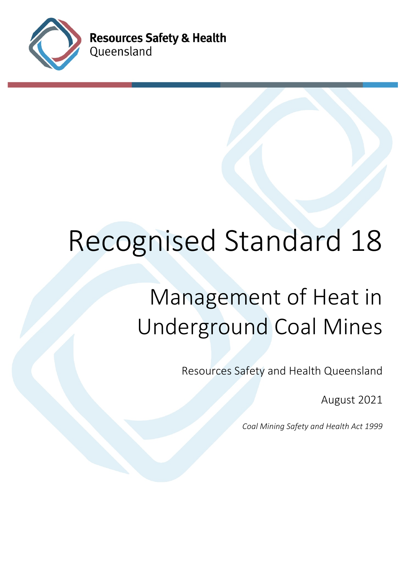

**Resources Safety & Health** Queensland

# Recognised Standard 18

# Management of Heat in Underground Coal Mines

Resources Safety and Health Queensland

August 2021

*Coal Mining Safety and Health Act 1999*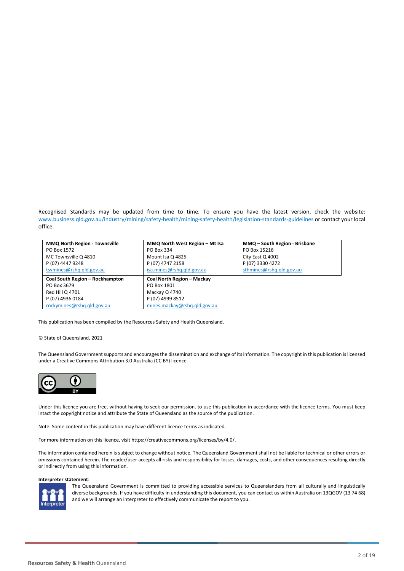Recognised Standards may be updated from time to time. To ensure you have the latest version, check the website: [www.business.qld.gov.au/industry/mining/safety-health/mining-safety-health/legislation-standards-guidelines](http://www.business.qld.gov.au/industry/mining/safety-health/mining-safety-health/legislation-standards-guidelines) or contact your local office.

| <b>MMQ North Region - Townsville</b> | MMQ North West Region - Mt Isa    | MMQ - South Region - Brisbane |
|--------------------------------------|-----------------------------------|-------------------------------|
| PO Box 1572                          | PO Box 334                        | PO Box 15216                  |
| MC Townsville Q 4810                 | Mount Isa Q 4825                  | City East Q 4002              |
| P (07) 4447 9248                     | P (07) 4747 2158                  | P (07) 3330 4272              |
| tsymines@rshq.qld.gov.au             | isa.mines@rshq.qld.gov.au         | sthmines@rshq.qld.gov.au      |
| Coal South Region - Rockhampton      | <b>Coal North Region - Mackay</b> |                               |
| PO Box 3679                          | PO Box 1801                       |                               |
|                                      |                                   |                               |
| Red Hill Q 4701                      | Mackay Q 4740                     |                               |
| P (07) 4936 0184                     | P (07) 4999 8512                  |                               |

This publication has been compiled by the Resources Safety and Health Queensland.

#### © State of Queensland, 2021

The Queensland Government supports and encourages the dissemination and exchange of its information. The copyright in this publication is licensed under a Creative Commons Attribution 3.0 Australia (CC BY) licence.



Under this licence you are free, without having to seek our permission, to use this publication in accordance with the licence terms. You must keep intact the copyright notice and attribute the State of Queensland as the source of the publication.

Note: Some content in this publication may have different licence terms as indicated.

For more information on this licence, visit https://creativecommons.org/licenses/by/4.0/.

The information contained herein is subject to change without notice. The Queensland Government shall not be liable for technical or other errors or omissions contained herein. The reader/user accepts all risks and responsibility for losses, damages, costs, and other consequences resulting directly or indirectly from using this information.

#### **Interpreter statement**:



The Queensland Government is committed to providing accessible services to Queenslanders from all culturally and linguistically diverse backgrounds. If you have difficulty in understanding this document, you can contact us within Australia on 13QGOV (13 74 68) and we will arrange an interpreter to effectively communicate the report to you.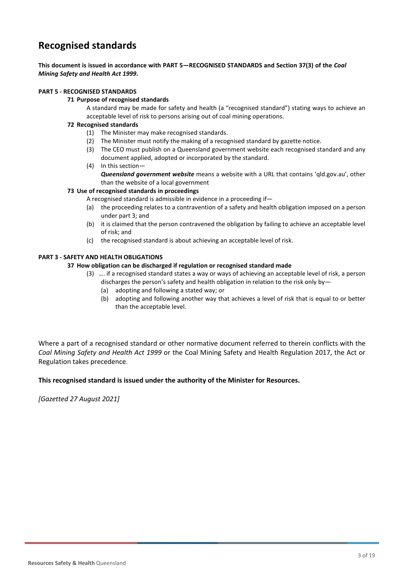## **Recognised standards**

**This document is issued in accordance with PART 5—RECOGNISED STANDARDS and Section 37(3) of the** *Coal Mining Safety and Health Act 1999***.** 

#### **PART 5 - RECOGNISED STANDARDS**

#### **71 Purpose of recognised standards**

A standard may be made for safety and health (a "recognised standard") stating ways to achieve an acceptable level of risk to persons arising out of coal mining operations.

#### **72 Recognised standards**

- (1) The Minister may make recognised standards.
- (2) The Minister must notify the making of a recognised standard by gazette notice.
- (3) The CEO must publish on a Queensland government website each recognised standard and any document applied, adopted or incorporated by the standard.
- (4) In this section— *Queensland government website* means a website with a URL that contains 'qld.gov.au', other than the website of a local government

#### **73 Use of recognised standards in proceedings**

- A recognised standard is admissible in evidence in a proceeding if—
- (a) the proceeding relates to a contravention of a safety and health obligation imposed on a person under part 3; and
- (b) it is claimed that the person contravened the obligation by failing to achieve an acceptable level of risk; and
- (c) the recognised standard is about achieving an acceptable level of risk.

#### **PART 3 - SAFETY AND HEALTH OBLIGATIONS**

#### **37 How obligation can be discharged if regulation or recognised standard made**

- (3) …. if a recognised standard states a way or ways of achieving an acceptable level of risk, a person discharges the person's safety and health obligation in relation to the risk only by—
	- (a) adopting and following a stated way; or
	- (b) adopting and following another way that achieves a level of risk that is equal to or better than the acceptable level.

Where a part of a recognised standard or other normative document referred to therein conflicts with the *Coal Mining Safety and Health Act 1999* or the Coal Mining Safety and Health Regulation 2017, the Act or Regulation takes precedence.

#### **This recognised standard is issued under the authority of the Minister for Resources.**

*[Gazetted 27 August 2021]*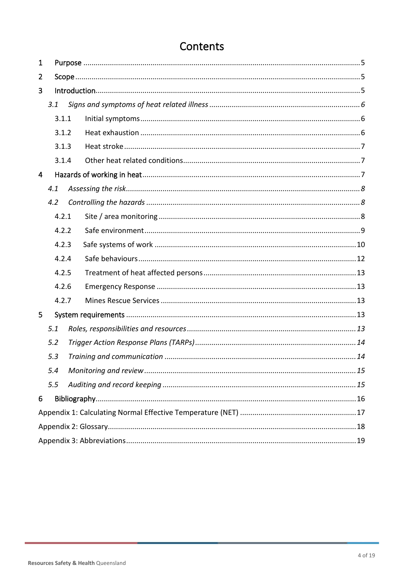| $\mathbf{1}$   |       |       |  |  |  |  |
|----------------|-------|-------|--|--|--|--|
| $\overline{2}$ |       |       |  |  |  |  |
| 3              |       |       |  |  |  |  |
|                | 3.1   |       |  |  |  |  |
|                | 3.1.1 |       |  |  |  |  |
|                | 3.1.2 |       |  |  |  |  |
|                | 3.1.3 |       |  |  |  |  |
|                |       | 3.1.4 |  |  |  |  |
| $\overline{4}$ |       |       |  |  |  |  |
|                | 4.1   |       |  |  |  |  |
|                | 4.2   |       |  |  |  |  |
|                |       | 4.2.1 |  |  |  |  |
|                |       | 4.2.2 |  |  |  |  |
|                |       | 4.2.3 |  |  |  |  |
|                |       | 4.2.4 |  |  |  |  |
|                |       | 4.2.5 |  |  |  |  |
|                |       | 4.2.6 |  |  |  |  |
|                |       | 4.2.7 |  |  |  |  |
| 5              |       |       |  |  |  |  |
|                | 5.1   |       |  |  |  |  |
|                | 5.2   |       |  |  |  |  |
|                | 5.3   |       |  |  |  |  |
|                | 5.4   |       |  |  |  |  |
|                | 5.5   |       |  |  |  |  |
| 6              |       |       |  |  |  |  |
|                |       |       |  |  |  |  |
|                |       |       |  |  |  |  |
|                |       |       |  |  |  |  |

# Contents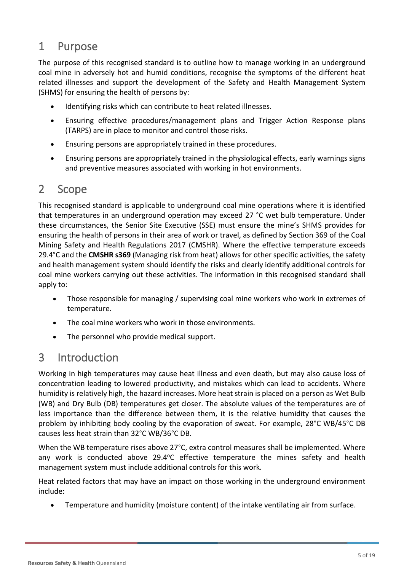## <span id="page-4-0"></span>1 Purpose

The purpose of this recognised standard is to outline how to manage working in an underground coal mine in adversely hot and humid conditions, recognise the symptoms of the different heat related illnesses and support the development of the Safety and Health Management System (SHMS) for ensuring the health of persons by:

- Identifying risks which can contribute to heat related illnesses.
- Ensuring effective procedures/management plans and Trigger Action Response plans (TARPS) are in place to monitor and control those risks.
- Ensuring persons are appropriately trained in these procedures.
- Ensuring persons are appropriately trained in the physiological effects, early warnings signs and preventive measures associated with working in hot environments.

## <span id="page-4-1"></span>2 Scope

This recognised standard is applicable to underground coal mine operations where it is identified that temperatures in an underground operation may exceed 27 °C wet bulb temperature. Under these circumstances, the Senior Site Executive (SSE) must ensure the mine's SHMS provides for ensuring the health of persons in their area of work or travel, as defined by Section 369 of the Coal Mining Safety and Health Regulations 2017 (CMSHR). Where the effective temperature exceeds 29.4°C and the **CMSHR s369** (Managing risk from heat) allows for other specific activities, the safety and health management system should identify the risks and clearly identify additional controls for coal mine workers carrying out these activities. The information in this recognised standard shall apply to:

- Those responsible for managing / supervising coal mine workers who work in extremes of temperature.
- The coal mine workers who work in those environments.
- The personnel who provide medical support.

# <span id="page-4-2"></span>3 Introduction

Working in high temperatures may cause heat illness and even death, but may also cause loss of concentration leading to lowered productivity, and mistakes which can lead to accidents. Where humidity is relatively high, the hazard increases. More heat strain is placed on a person as Wet Bulb (WB) and Dry Bulb (DB) temperatures get closer. The absolute values of the temperatures are of less importance than the difference between them, it is the relative humidity that causes the problem by inhibiting body cooling by the evaporation of sweat. For example, 28°C WB/45°C DB causes less heat strain than 32°C WB/36°C DB.

When the WB temperature rises above 27°C, extra control measures shall be implemented. Where any work is conducted above  $29.4^{\circ}$ C effective temperature the mines safety and health management system must include additional controls for this work.

Heat related factors that may have an impact on those working in the underground environment include:

• Temperature and humidity (moisture content) of the intake ventilating air from surface.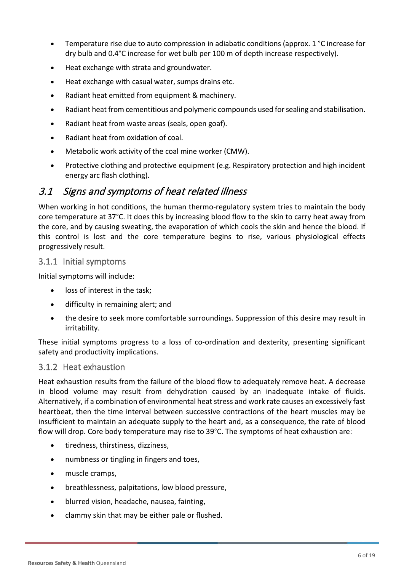- Temperature rise due to auto compression in adiabatic conditions (approx. 1 °C increase for dry bulb and 0.4°C increase for wet bulb per 100 m of depth increase respectively).
- Heat exchange with strata and groundwater.
- Heat exchange with casual water, sumps drains etc.
- Radiant heat emitted from equipment & machinery.
- Radiant heat from cementitious and polymeric compounds used for sealing and stabilisation.
- Radiant heat from waste areas (seals, open goaf).
- Radiant heat from oxidation of coal.
- Metabolic work activity of the coal mine worker (CMW).
- Protective clothing and protective equipment (e.g. Respiratory protection and high incident energy arc flash clothing).

## <span id="page-5-0"></span>3.1 Signs and symptoms of heat related illness

When working in hot conditions, the human thermo-regulatory system tries to maintain the body core temperature at 37°C. It does this by increasing blood flow to the skin to carry heat away from the core, and by causing sweating, the evaporation of which cools the skin and hence the blood. If this control is lost and the core temperature begins to rise, various physiological effects progressively result.

#### <span id="page-5-1"></span>3.1.1 Initial symptoms

Initial symptoms will include:

- loss of interest in the task;
- difficulty in remaining alert; and
- the desire to seek more comfortable surroundings. Suppression of this desire may result in irritability.

These initial symptoms progress to a loss of co-ordination and dexterity, presenting significant safety and productivity implications.

#### <span id="page-5-2"></span>3.1.2 Heat exhaustion

Heat exhaustion results from the failure of the blood flow to adequately remove heat. A decrease in blood volume may result from dehydration caused by an inadequate intake of fluids. Alternatively, if a combination of environmental heat stress and work rate causes an excessively fast heartbeat, then the time interval between successive contractions of the heart muscles may be insufficient to maintain an adequate supply to the heart and, as a consequence, the rate of blood flow will drop. Core body temperature may rise to 39°C. The symptoms of heat exhaustion are:

- tiredness, thirstiness, dizziness,
- numbness or tingling in fingers and toes,
- muscle cramps,
- breathlessness, palpitations, low blood pressure,
- blurred vision, headache, nausea, fainting,
- clammy skin that may be either pale or flushed.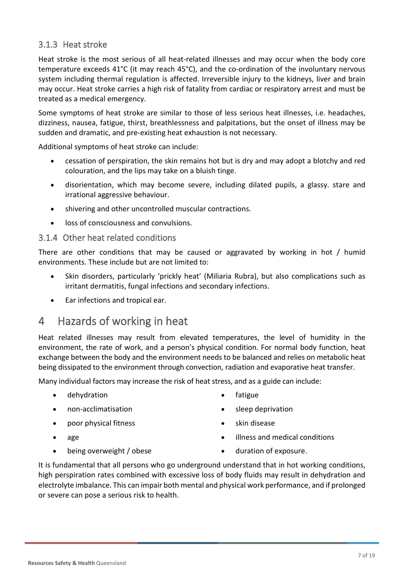## <span id="page-6-0"></span>3.1.3 Heat stroke

Heat stroke is the most serious of all heat-related illnesses and may occur when the body core temperature exceeds 41°C (it may reach 45°C), and the co-ordination of the involuntary nervous system including thermal regulation is affected. Irreversible injury to the kidneys, liver and brain may occur. Heat stroke carries a high risk of fatality from cardiac or respiratory arrest and must be treated as a medical emergency.

Some symptoms of heat stroke are similar to those of less serious heat illnesses, i.e. headaches, dizziness, nausea, fatigue, thirst, breathlessness and palpitations, but the onset of illness may be sudden and dramatic, and pre-existing heat exhaustion is not necessary.

Additional symptoms of heat stroke can include:

- cessation of perspiration, the skin remains hot but is dry and may adopt a blotchy and red colouration, and the lips may take on a bluish tinge.
- disorientation, which may become severe, including dilated pupils, a glassy. stare and irrational aggressive behaviour.
- shivering and other uncontrolled muscular contractions.
- loss of consciousness and convulsions.

#### <span id="page-6-1"></span>3.1.4 Other heat related conditions

There are other conditions that may be caused or aggravated by working in hot / humid environments. These include but are not limited to:

- Skin disorders, particularly 'prickly heat' (Miliaria Rubra), but also complications such as irritant dermatitis, fungal infections and secondary infections.
- Ear infections and tropical ear.

# <span id="page-6-2"></span>4 Hazards of working in heat

Heat related illnesses may result from elevated temperatures, the level of humidity in the environment, the rate of work, and a person's physical condition. For normal body function, heat exchange between the body and the environment needs to be balanced and relies on metabolic heat being dissipated to the environment through convection, radiation and evaporative heat transfer.

Many individual factors may increase the risk of heat stress, and as a guide can include:

- dehydration
- non-acclimatisation
- poor physical fitness
- age
- being overweight / obese
- fatigue
- sleep deprivation
- skin disease
- illness and medical conditions
- duration of exposure.

It is fundamental that all persons who go underground understand that in hot working conditions, high perspiration rates combined with excessive loss of body fluids may result in dehydration and electrolyte imbalance. This can impair both mental and physical work performance, and if prolonged or severe can pose a serious risk to health.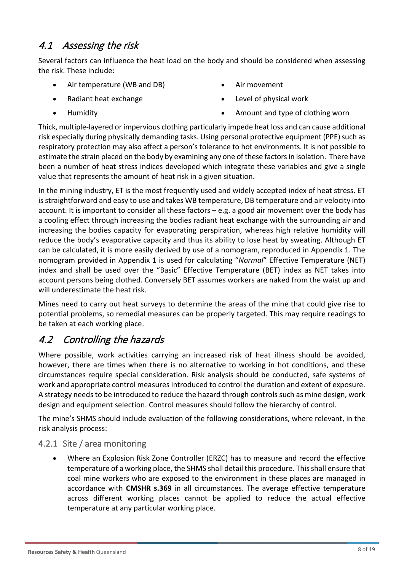## <span id="page-7-0"></span>4.1 Assessing the risk

Several factors can influence the heat load on the body and should be considered when assessing the risk. These include:

- Air temperature (WB and DB)
- Radiant heat exchange
- Humidity
- Air movement
- Level of physical work
- Amount and type of clothing worn

Thick, multiple-layered or impervious clothing particularly impede heat loss and can cause additional risk especially during physically demanding tasks. Using personal protective equipment (PPE) such as respiratory protection may also affect a person's tolerance to hot environments. It is not possible to estimate the strain placed on the body by examining any one of these factors in isolation. There have been a number of heat stress indices developed which integrate these variables and give a single value that represents the amount of heat risk in a given situation.

In the mining industry, ET is the most frequently used and widely accepted index of heat stress. ET is straightforward and easy to use and takes WB temperature, DB temperature and air velocity into account. It is important to consider all these factors – e.g. a good air movement over the body has a cooling effect through increasing the bodies radiant heat exchange with the surrounding air and increasing the bodies capacity for evaporating perspiration, whereas high relative humidity will reduce the body's evaporative capacity and thus its ability to lose heat by sweating. Although ET can be calculated, it is more easily derived by use of a nomogram, reproduced in Appendix 1. The nomogram provided in Appendix 1 is used for calculating "*Normal*" Effective Temperature (NET) index and shall be used over the "Basic" Effective Temperature (BET) index as NET takes into account persons being clothed. Conversely BET assumes workers are naked from the waist up and will underestimate the heat risk.

Mines need to carry out heat surveys to determine the areas of the mine that could give rise to potential problems, so remedial measures can be properly targeted. This may require readings to be taken at each working place.

# <span id="page-7-1"></span>4.2 Controlling the hazards

Where possible, work activities carrying an increased risk of heat illness should be avoided, however, there are times when there is no alternative to working in hot conditions, and these circumstances require special consideration. Risk analysis should be conducted, safe systems of work and appropriate control measures introduced to control the duration and extent of exposure. A strategy needs to be introduced to reduce the hazard through controls such as mine design, work design and equipment selection. Control measures should follow the hierarchy of control.

The mine's SHMS should include evaluation of the following considerations, where relevant, in the risk analysis process:

## <span id="page-7-2"></span>4.2.1 Site / area monitoring

• Where an Explosion Risk Zone Controller (ERZC) has to measure and record the effective temperature of a working place, the SHMS shall detail this procedure. This shall ensure that coal mine workers who are exposed to the environment in these places are managed in accordance with **CMSHR s.369** in all circumstances. The average effective temperature across different working places cannot be applied to reduce the actual effective temperature at any particular working place.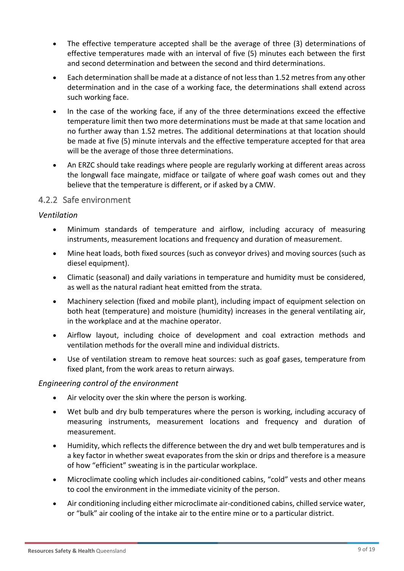- The effective temperature accepted shall be the average of three (3) determinations of effective temperatures made with an interval of five (5) minutes each between the first and second determination and between the second and third determinations.
- Each determination shall be made at a distance of not less than 1.52 metres from any other determination and in the case of a working face, the determinations shall extend across such working face.
- In the case of the working face, if any of the three determinations exceed the effective temperature limit then two more determinations must be made at that same location and no further away than 1.52 metres. The additional determinations at that location should be made at five (5) minute intervals and the effective temperature accepted for that area will be the average of those three determinations.
- An ERZC should take readings where people are regularly working at different areas across the longwall face maingate, midface or tailgate of where goaf wash comes out and they believe that the temperature is different, or if asked by a CMW.

## <span id="page-8-0"></span>4.2.2 Safe environment

## *Ventilation*

- Minimum standards of temperature and airflow, including accuracy of measuring instruments, measurement locations and frequency and duration of measurement.
- Mine heat loads, both fixed sources (such as conveyor drives) and moving sources (such as diesel equipment).
- Climatic (seasonal) and daily variations in temperature and humidity must be considered, as well as the natural radiant heat emitted from the strata.
- Machinery selection (fixed and mobile plant), including impact of equipment selection on both heat (temperature) and moisture (humidity) increases in the general ventilating air, in the workplace and at the machine operator.
- Airflow layout, including choice of development and coal extraction methods and ventilation methods for the overall mine and individual districts.
- Use of ventilation stream to remove heat sources: such as goaf gases, temperature from fixed plant, from the work areas to return airways.

## *Engineering control of the environment*

- Air velocity over the skin where the person is working.
- Wet bulb and dry bulb temperatures where the person is working, including accuracy of measuring instruments, measurement locations and frequency and duration of measurement.
- Humidity, which reflects the difference between the dry and wet bulb temperatures and is a key factor in whether sweat evaporates from the skin or drips and therefore is a measure of how "efficient" sweating is in the particular workplace.
- Microclimate cooling which includes air-conditioned cabins, "cold" vests and other means to cool the environment in the immediate vicinity of the person.
- Air conditioning including either microclimate air-conditioned cabins, chilled service water, or "bulk" air cooling of the intake air to the entire mine or to a particular district.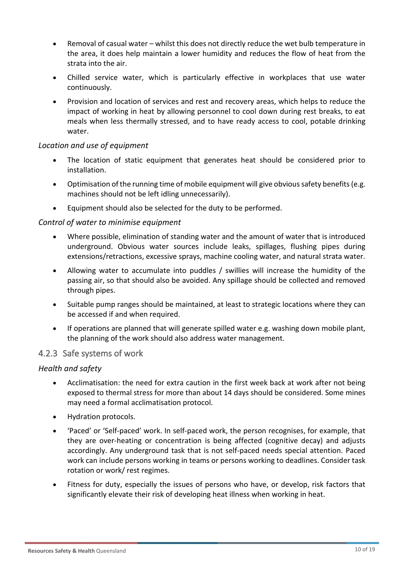- Removal of casual water whilst this does not directly reduce the wet bulb temperature in the area, it does help maintain a lower humidity and reduces the flow of heat from the strata into the air.
- Chilled service water, which is particularly effective in workplaces that use water continuously.
- Provision and location of services and rest and recovery areas, which helps to reduce the impact of working in heat by allowing personnel to cool down during rest breaks, to eat meals when less thermally stressed, and to have ready access to cool, potable drinking water.

#### *Location and use of equipment*

- The location of static equipment that generates heat should be considered prior to installation.
- Optimisation of the running time of mobile equipment will give obvious safety benefits (e.g. machines should not be left idling unnecessarily).
- Equipment should also be selected for the duty to be performed.

#### *Control of water to minimise equipment*

- Where possible, elimination of standing water and the amount of water that is introduced underground. Obvious water sources include leaks, spillages, flushing pipes during extensions/retractions, excessive sprays, machine cooling water, and natural strata water.
- Allowing water to accumulate into puddles / swillies will increase the humidity of the passing air, so that should also be avoided. Any spillage should be collected and removed through pipes.
- Suitable pump ranges should be maintained, at least to strategic locations where they can be accessed if and when required.
- If operations are planned that will generate spilled water e.g. washing down mobile plant, the planning of the work should also address water management.

## <span id="page-9-0"></span>4.2.3 Safe systems of work

#### *Health and safety*

- Acclimatisation: the need for extra caution in the first week back at work after not being exposed to thermal stress for more than about 14 days should be considered. Some mines may need a formal acclimatisation protocol.
- Hydration protocols.
- 'Paced' or 'Self-paced' work. In self-paced work, the person recognises, for example, that they are over-heating or concentration is being affected (cognitive decay) and adjusts accordingly. Any underground task that is not self-paced needs special attention. Paced work can include persons working in teams or persons working to deadlines. Consider task rotation or work/ rest regimes.
- Fitness for duty, especially the issues of persons who have, or develop, risk factors that significantly elevate their risk of developing heat illness when working in heat.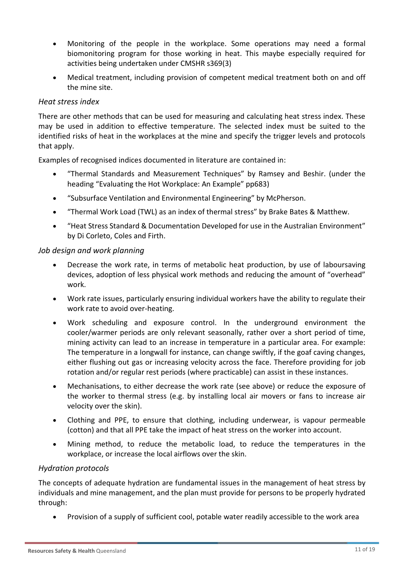- Monitoring of the people in the workplace. Some operations may need a formal biomonitoring program for those working in heat. This maybe especially required for activities being undertaken under CMSHR s369(3)
- Medical treatment, including provision of competent medical treatment both on and off the mine site.

#### *Heat stress index*

There are other methods that can be used for measuring and calculating heat stress index. These may be used in addition to effective temperature. The selected index must be suited to the identified risks of heat in the workplaces at the mine and specify the trigger levels and protocols that apply.

Examples of recognised indices documented in literature are contained in:

- "Thermal Standards and Measurement Techniques" by Ramsey and Beshir. (under the heading "Evaluating the Hot Workplace: An Example" pp683)
- "Subsurface Ventilation and Environmental Engineering" by McPherson.
- "Thermal Work Load (TWL) as an index of thermal stress" by Brake Bates & Matthew.
- "Heat Stress Standard & Documentation Developed for use in the Australian Environment" by Di Corleto, Coles and Firth.

#### *Job design and work planning*

- Decrease the work rate, in terms of metabolic heat production, by use of laboursaving devices, adoption of less physical work methods and reducing the amount of "overhead" work.
- Work rate issues, particularly ensuring individual workers have the ability to regulate their work rate to avoid over-heating.
- Work scheduling and exposure control. In the underground environment the cooler/warmer periods are only relevant seasonally, rather over a short period of time, mining activity can lead to an increase in temperature in a particular area. For example: The temperature in a longwall for instance, can change swiftly, if the goaf caving changes, either flushing out gas or increasing velocity across the face. Therefore providing for job rotation and/or regular rest periods (where practicable) can assist in these instances.
- Mechanisations, to either decrease the work rate (see above) or reduce the exposure of the worker to thermal stress (e.g. by installing local air movers or fans to increase air velocity over the skin).
- Clothing and PPE, to ensure that clothing, including underwear, is vapour permeable (cotton) and that all PPE take the impact of heat stress on the worker into account.
- Mining method, to reduce the metabolic load, to reduce the temperatures in the workplace, or increase the local airflows over the skin.

## *Hydration protocols*

The concepts of adequate hydration are fundamental issues in the management of heat stress by individuals and mine management, and the plan must provide for persons to be properly hydrated through:

• Provision of a supply of sufficient cool, potable water readily accessible to the work area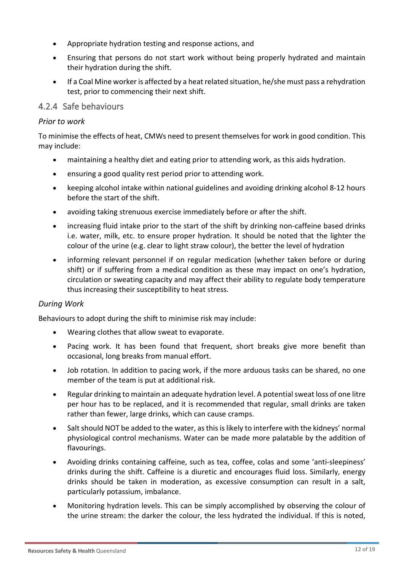- Appropriate hydration testing and response actions, and
- Ensuring that persons do not start work without being properly hydrated and maintain their hydration during the shift.
- If a Coal Mine worker is affected by a heat related situation, he/she must pass a rehydration test, prior to commencing their next shift.

## <span id="page-11-0"></span>4.2.4 Safe behaviours

#### *Prior to work*

To minimise the effects of heat, CMWs need to present themselves for work in good condition. This may include:

- maintaining a healthy diet and eating prior to attending work, as this aids hydration.
- ensuring a good quality rest period prior to attending work.
- keeping alcohol intake within national guidelines and avoiding drinking alcohol 8-12 hours before the start of the shift.
- avoiding taking strenuous exercise immediately before or after the shift.
- increasing fluid intake prior to the start of the shift by drinking non-caffeine based drinks i.e. water, milk, etc. to ensure proper hydration. It should be noted that the lighter the colour of the urine (e.g. clear to light straw colour), the better the level of hydration
- informing relevant personnel if on regular medication (whether taken before or during shift) or if suffering from a medical condition as these may impact on one's hydration, circulation or sweating capacity and may affect their ability to regulate body temperature thus increasing their susceptibility to heat stress.

## *During Work*

Behaviours to adopt during the shift to minimise risk may include:

- Wearing clothes that allow sweat to evaporate.
- Pacing work. It has been found that frequent, short breaks give more benefit than occasional, long breaks from manual effort.
- Job rotation. In addition to pacing work, if the more arduous tasks can be shared, no one member of the team is put at additional risk.
- Regular drinking to maintain an adequate hydration level. A potential sweat loss of one litre per hour has to be replaced, and it is recommended that regular, small drinks are taken rather than fewer, large drinks, which can cause cramps.
- Salt should NOT be added to the water, as this is likely to interfere with the kidneys' normal physiological control mechanisms. Water can be made more palatable by the addition of flavourings.
- Avoiding drinks containing caffeine, such as tea, coffee, colas and some 'anti-sleepiness' drinks during the shift. Caffeine is a diuretic and encourages fluid loss. Similarly, energy drinks should be taken in moderation, as excessive consumption can result in a salt, particularly potassium, imbalance.
- Monitoring hydration levels. This can be simply accomplished by observing the colour of the urine stream: the darker the colour, the less hydrated the individual. If this is noted,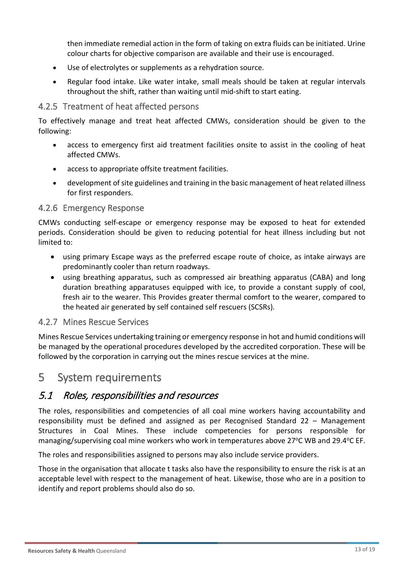then immediate remedial action in the form of taking on extra fluids can be initiated. Urine colour charts for objective comparison are available and their use is encouraged.

- Use of electrolytes or supplements as a rehydration source.
- Regular food intake. Like water intake, small meals should be taken at regular intervals throughout the shift, rather than waiting until mid-shift to start eating.

#### <span id="page-12-0"></span>4.2.5 Treatment of heat affected persons

To effectively manage and treat heat affected CMWs, consideration should be given to the following:

- access to emergency first aid treatment facilities onsite to assist in the cooling of heat affected CMWs.
- access to appropriate offsite treatment facilities.
- development of site guidelines and training in the basic management of heat related illness for first responders.

#### <span id="page-12-1"></span>4.2.6 Emergency Response

CMWs conducting self-escape or emergency response may be exposed to heat for extended periods. Consideration should be given to reducing potential for heat illness including but not limited to:

- using primary Escape ways as the preferred escape route of choice, as intake airways are predominantly cooler than return roadways.
- using breathing apparatus, such as compressed air breathing apparatus (CABA) and long duration breathing apparatuses equipped with ice, to provide a constant supply of cool, fresh air to the wearer. This Provides greater thermal comfort to the wearer, compared to the heated air generated by self contained self rescuers (SCSRs).

#### <span id="page-12-2"></span>4.2.7 Mines Rescue Services

Mines Rescue Services undertaking training or emergency response in hot and humid conditions will be managed by the operational procedures developed by the accredited corporation. These will be followed by the corporation in carrying out the mines rescue services at the mine.

## <span id="page-12-3"></span>5 System requirements

## <span id="page-12-4"></span>5.1 Roles, responsibilities and resources

The roles, responsibilities and competencies of all coal mine workers having accountability and responsibility must be defined and assigned as per Recognised Standard 22 – Management Structures in Coal Mines. These include competencies for persons responsible for managing/supervising coal mine workers who work in temperatures above 27°C WB and 29.4°C EF.

The roles and responsibilities assigned to persons may also include service providers.

<span id="page-12-5"></span>Those in the organisation that allocate t tasks also have the responsibility to ensure the risk is at an acceptable level with respect to the management of heat. Likewise, those who are in a position to identify and report problems should also do so.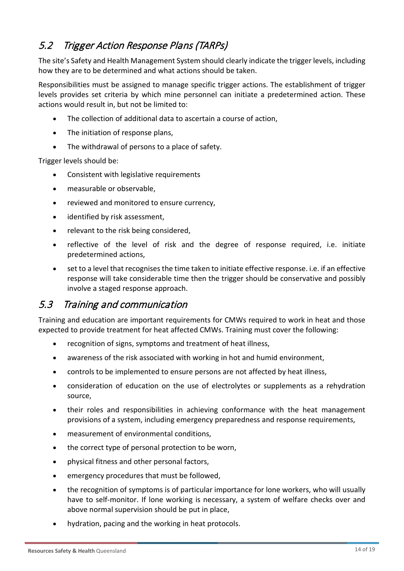## 5.2 Trigger Action Response Plans (TARPs)

The site's Safety and Health Management System should clearly indicate the trigger levels, including how they are to be determined and what actions should be taken.

Responsibilities must be assigned to manage specific trigger actions. The establishment of trigger levels provides set criteria by which mine personnel can initiate a predetermined action. These actions would result in, but not be limited to:

- The collection of additional data to ascertain a course of action,
- The initiation of response plans,
- The withdrawal of persons to a place of safety.

Trigger levels should be:

- Consistent with legislative requirements
- measurable or observable,
- reviewed and monitored to ensure currency,
- identified by risk assessment,
- relevant to the risk being considered,
- reflective of the level of risk and the degree of response required, i.e. initiate predetermined actions,
- set to a level that recognises the time taken to initiate effective response. i.e. if an effective response will take considerable time then the trigger should be conservative and possibly involve a staged response approach.

## <span id="page-13-0"></span>5.3 Training and communication

Training and education are important requirements for CMWs required to work in heat and those expected to provide treatment for heat affected CMWs. Training must cover the following:

- recognition of signs, symptoms and treatment of heat illness,
- awareness of the risk associated with working in hot and humid environment,
- controls to be implemented to ensure persons are not affected by heat illness,
- consideration of education on the use of electrolytes or supplements as a rehydration source,
- their roles and responsibilities in achieving conformance with the heat management provisions of a system, including emergency preparedness and response requirements,
- measurement of environmental conditions,
- the correct type of personal protection to be worn,
- physical fitness and other personal factors,
- emergency procedures that must be followed,
- the recognition of symptoms is of particular importance for lone workers, who will usually have to self-monitor. If lone working is necessary, a system of welfare checks over and above normal supervision should be put in place,
- hydration, pacing and the working in heat protocols.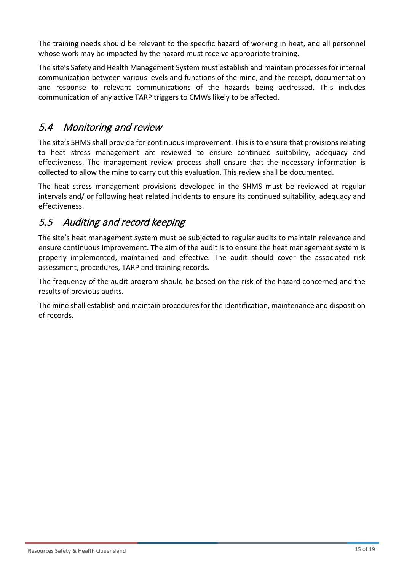The training needs should be relevant to the specific hazard of working in heat, and all personnel whose work may be impacted by the hazard must receive appropriate training.

The site's Safety and Health Management System must establish and maintain processes for internal communication between various levels and functions of the mine, and the receipt, documentation and response to relevant communications of the hazards being addressed. This includes communication of any active TARP triggers to CMWs likely to be affected.

## <span id="page-14-0"></span>5.4 Monitoring and review

The site's SHMS shall provide for continuous improvement. This is to ensure that provisions relating to heat stress management are reviewed to ensure continued suitability, adequacy and effectiveness. The management review process shall ensure that the necessary information is collected to allow the mine to carry out this evaluation. This review shall be documented.

The heat stress management provisions developed in the SHMS must be reviewed at regular intervals and/ or following heat related incidents to ensure its continued suitability, adequacy and effectiveness.

## <span id="page-14-1"></span>5.5 Auditing and record keeping

The site's heat management system must be subjected to regular audits to maintain relevance and ensure continuous improvement. The aim of the audit is to ensure the heat management system is properly implemented, maintained and effective. The audit should cover the associated risk assessment, procedures, TARP and training records.

The frequency of the audit program should be based on the risk of the hazard concerned and the results of previous audits.

The mine shall establish and maintain procedures for the identification, maintenance and disposition of records.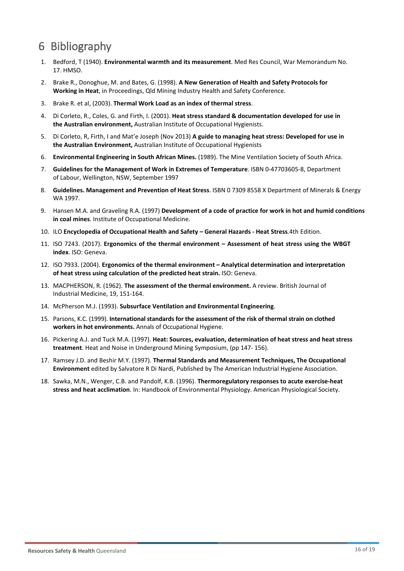# <span id="page-15-0"></span>6 Bibliography

- 1. Bedford, T (1940). **Environmental warmth and its measurement**. Med Res Council, War Memorandum No. 17. HMSO.
- 2. Brake R., Donoghue, M. and Bates, G. (1998). **A New Generation of Health and Safety Protocols for Working in Heat**, in Proceedings, Qld Mining Industry Health and Safety Conference.
- 3. Brake R. et al, (2003). **Thermal Work Load as an index of thermal stress**.
- 4. Di Corleto, R., Coles, G. and Firth, I. (2001). **Heat stress standard & documentation developed for use in the Australian environment,** Australian Institute of Occupational Hygienists.
- 5. Di Corleto, R, Firth, I and Mat'e Joseph (Nov 2013) **A guide to managing heat stress: Developed for use in the Australian Environment,** Australian Institute of Occupational Hygienists
- 6. **Environmental Engineering in South African Mines.** (1989). The Mine Ventilation Society of South Africa.
- 7. **Guidelines for the Management of Work in Extremes of Temperature**. ISBN 0-47703605-8, Department of Labour, Wellington, NSW, September 1997
- 8. **Guidelines. Management and Prevention of Heat Stress**. ISBN 0 7309 8558 X Department of Minerals & Energy WA 1997.
- 9. Hansen M.A. and Graveling R.A. (1997) **Development of a code of practice for work in hot and humid conditions in coal mines**. Institute of Occupational Medicine.
- 10. ILO **Encyclopedia of Occupational Health and Safety – General Hazards - Heat Stress**.4th Edition.
- 11. ISO 7243. (2017). **Ergonomics of the thermal environment – Assessment of heat stress using the WBGT index**. ISO: Geneva.
- 12. ISO 7933. (2004). **Ergonomics of the thermal environment – Analytical determination and interpretation of heat stress using calculation of the predicted heat strain.** ISO: Geneva.
- 13. MACPHERSON, R. (1962). **The assessment of the thermal environment.** A review. British Journal of Industrial Medicine, 19, 151-164.
- 14. McPherson M.J. (1993). **Subsurface Ventilation and Environmental Engineering**.
- 15. Parsons, K.C. (1999). **International standards for the assessment of the risk of thermal strain on clothed workers in hot environments.** Annals of Occupational Hygiene.
- 16. Pickering A.J. and Tuck M.A. (1997). **Heat: Sources, evaluation, determination of heat stress and heat stress treatment**. Heat and Noise in Underground Mining Symposium, (pp 147- 156).
- 17. Ramsey J.D. and Beshir M.Y. (1997). **Thermal Standards and Measurement Techniques, The Occupational Environment** edited by Salvatore R Di Nardi, Published by The American Industrial Hygiene Association.
- 18. Sawka, M.N., Wenger, C.B. and Pandolf, K.B. (1996). **Thermoregulatory responses to acute exercise-heat stress and heat acclimation**. In: Handbook of Environmental Physiology. American Physiological Society.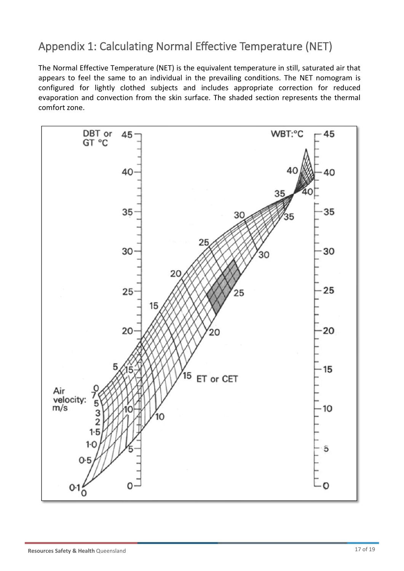# <span id="page-16-0"></span>Appendix 1: Calculating Normal Effective Temperature (NET)

The Normal Effective Temperature (NET) is the equivalent temperature in still, saturated air that appears to feel the same to an individual in the prevailing conditions. The NET nomogram is configured for lightly clothed subjects and includes appropriate correction for reduced evaporation and convection from the skin surface. The shaded section represents the thermal comfort zone.

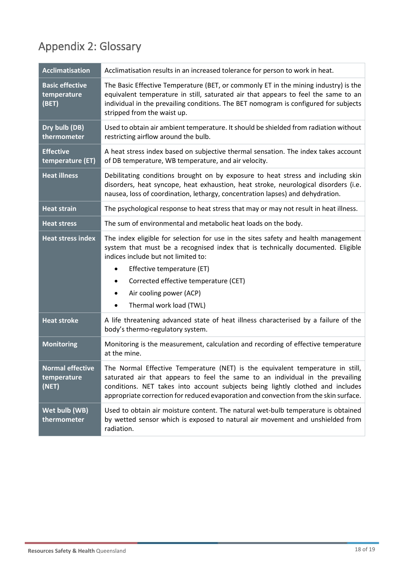# <span id="page-17-0"></span>Appendix 2: Glossary

| <b>Acclimatisation</b>                          | Acclimatisation results in an increased tolerance for person to work in heat.                                                                                                                                                                                                                                                                            |
|-------------------------------------------------|----------------------------------------------------------------------------------------------------------------------------------------------------------------------------------------------------------------------------------------------------------------------------------------------------------------------------------------------------------|
| <b>Basic effective</b><br>temperature<br>(BET)  | The Basic Effective Temperature (BET, or commonly ET in the mining industry) is the<br>equivalent temperature in still, saturated air that appears to feel the same to an<br>individual in the prevailing conditions. The BET nomogram is configured for subjects<br>stripped from the waist up.                                                         |
| Dry bulb (DB)<br>thermometer                    | Used to obtain air ambient temperature. It should be shielded from radiation without<br>restricting airflow around the bulb.                                                                                                                                                                                                                             |
| <b>Effective</b><br>temperature (ET)            | A heat stress index based on subjective thermal sensation. The index takes account<br>of DB temperature, WB temperature, and air velocity.                                                                                                                                                                                                               |
| <b>Heat illness</b>                             | Debilitating conditions brought on by exposure to heat stress and including skin<br>disorders, heat syncope, heat exhaustion, heat stroke, neurological disorders (i.e.<br>nausea, loss of coordination, lethargy, concentration lapses) and dehydration.                                                                                                |
| <b>Heat strain</b>                              | The psychological response to heat stress that may or may not result in heat illness.                                                                                                                                                                                                                                                                    |
| <b>Heat stress</b>                              | The sum of environmental and metabolic heat loads on the body.                                                                                                                                                                                                                                                                                           |
| <b>Heat stress index</b>                        | The index eligible for selection for use in the sites safety and health management<br>system that must be a recognised index that is technically documented. Eligible<br>indices include but not limited to:<br>Effective temperature (ET)<br>٠<br>Corrected effective temperature (CET)<br>٠<br>Air cooling power (ACP)<br>٠<br>Thermal work load (TWL) |
| <b>Heat stroke</b>                              | A life threatening advanced state of heat illness characterised by a failure of the<br>body's thermo-regulatory system.                                                                                                                                                                                                                                  |
| <b>Monitoring</b>                               | Monitoring is the measurement, calculation and recording of effective temperature<br>at the mine.                                                                                                                                                                                                                                                        |
| <b>Normal effective</b><br>temperature<br>(NET) | The Normal Effective Temperature (NET) is the equivalent temperature in still,<br>saturated air that appears to feel the same to an individual in the prevailing<br>conditions. NET takes into account subjects being lightly clothed and includes<br>appropriate correction for reduced evaporation and convection from the skin surface.               |
| Wet bulb (WB)<br>thermometer                    | Used to obtain air moisture content. The natural wet-bulb temperature is obtained<br>by wetted sensor which is exposed to natural air movement and unshielded from<br>radiation.                                                                                                                                                                         |